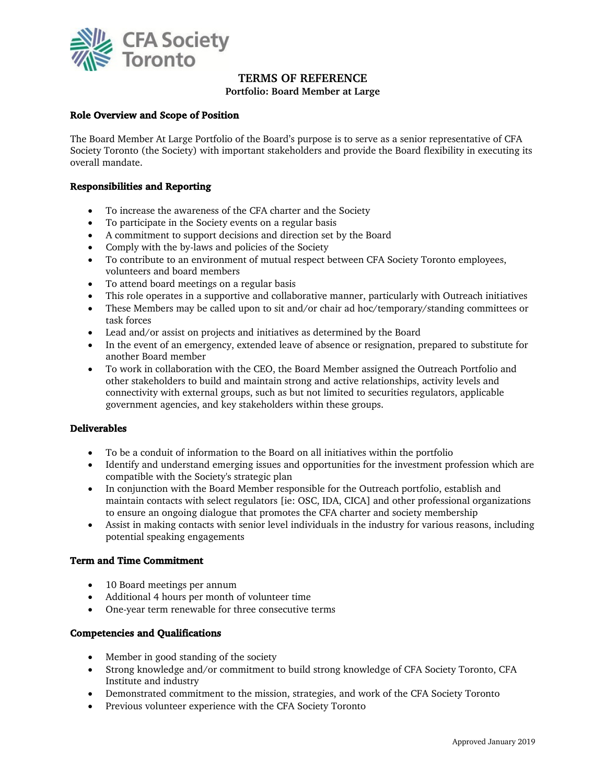

# **TERMS OF REFERENCE**

**Portfolio: Board Member at Large**

# **Role Overview and Scope of Position**

The Board Member At Large Portfolio of the Board's purpose is to serve as a senior representative of CFA Society Toronto (the Society) with important stakeholders and provide the Board flexibility in executing its overall mandate.

## **Responsibilities and Reporting**

- To increase the awareness of the CFA charter and the Society
- To participate in the Society events on a regular basis
- A commitment to support decisions and direction set by the Board
- Comply with the by-laws and policies of the Society
- To contribute to an environment of mutual respect between CFA Society Toronto employees, volunteers and board members
- To attend board meetings on a regular basis
- This role operates in a supportive and collaborative manner, particularly with Outreach initiatives
- These Members may be called upon to sit and/or chair ad hoc/temporary/standing committees or task forces
- Lead and/or assist on projects and initiatives as determined by the Board
- In the event of an emergency, extended leave of absence or resignation, prepared to substitute for another Board member
- To work in collaboration with the CEO, the Board Member assigned the Outreach Portfolio and other stakeholders to build and maintain strong and active relationships, activity levels and connectivity with external groups, such as but not limited to securities regulators, applicable government agencies, and key stakeholders within these groups.

#### **Deliverables**

- To be a conduit of information to the Board on all initiatives within the portfolio
- Identify and understand emerging issues and opportunities for the investment profession which are compatible with the Society's strategic plan
- In conjunction with the Board Member responsible for the Outreach portfolio, establish and maintain contacts with select regulators [ie: OSC, IDA, CICA] and other professional organizations to ensure an ongoing dialogue that promotes the CFA charter and society membership
- Assist in making contacts with senior level individuals in the industry for various reasons, including potential speaking engagements

#### **Term and Time Commitment**

- 10 Board meetings per annum
- Additional 4 hours per month of volunteer time
- One-year term renewable for three consecutive terms

#### **Competencies and Qualifications**

- Member in good standing of the society
- Strong knowledge and/or commitment to build strong knowledge of CFA Society Toronto, CFA Institute and industry
- Demonstrated commitment to the mission, strategies, and work of the CFA Society Toronto
- Previous volunteer experience with the CFA Society Toronto